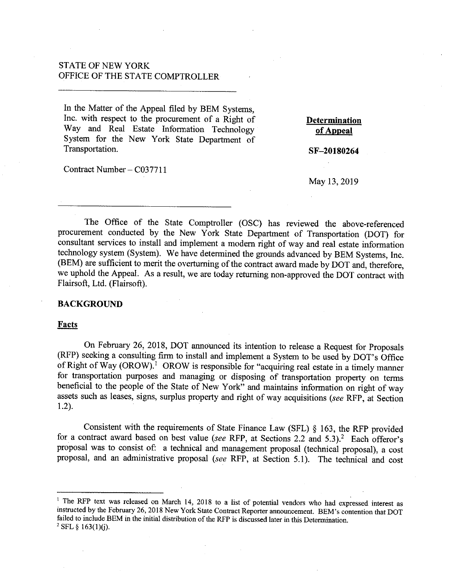# STATE OF NEW YORK OFFICE OF THE STATE COMPTROLLER

In the Matter of the Appeal filed by BEM Systems, Inc. with respect to the procurement of a Right of Way and Real Estate Information Technology System for the New York State Department of Transportation.

Contract Number- C03771 l

**Determination of Appeal** 

**SF-20180264** 

## May 13, 2019

The Office of the State Comptroller (OSC) has reviewed the above-referenced procurement conducted by the New York State Department of Transportation (DOT) for consultant services to install and implement a modem right of way and real estate information technology system (System). We have determined the grounds advanced by BEM Systems, Inc. (BEM) are sufficient to merit the overturning of the contract award made by DOT and, therefore, we uphold the Appeal. As a result, we are today returning non-approved the DOT contract with Flairsoft, Ltd. (Flairsoft).

## **BACKGROUND**

### Facts

On February 26, 2018, DOT announced its intention to release a Request for Proposals (RFP) seeking a consulting firm to install and implement a System to be used by DOT's Office of Right of Way (OROW).<sup>1</sup> OROW is responsible for "acquiring real estate in a timely manner for transportation purposes and managing or disposing of transportation property on terms beneficial to the people of the State of New York" and maintains information on right of way assets such as leases, signs, surplus property and right of way acquisitions *(see* RFP, at Section 1.2).

Consistent with the requirements of State Finance Law (SFL) § 163, the RFP provided for a contract award based on best value *(see* RFP, at Sections 2.2 and 5.3).2 Each offeror's proposal was to consist of: a technical and management proposal (technical proposal), a cost proposal, and an administrative proposal *(see RFP*, at Section 5.1). The technical and cost

<sup>&</sup>lt;sup>1</sup> The RFP text was released on March 14, 2018 to a list of potential vendors who had expressed interest as instructed by the February 26, 2018 New York State Contract Reporter announcement. BEM's contention that DOT failed to include BEM in the initial distribution of the RFP is discussed later in this Determination.<br><sup>2</sup> SFL § 163(1)(j).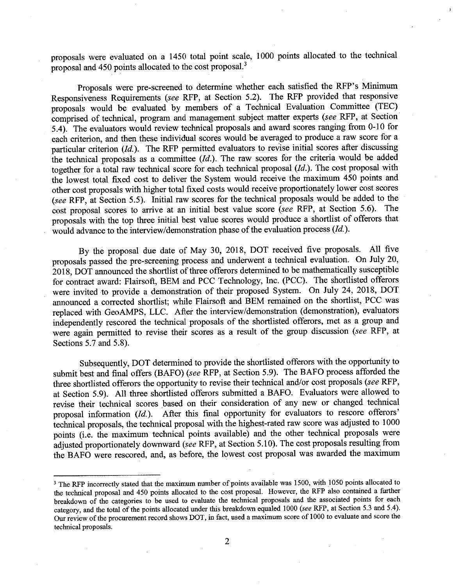proposals were evaluated on a 1450 total point scale, 1000 points allocated to the technical proposal and 450 points allocated to the cost proposal.<sup>3</sup>

Proposals were pre-screened to determine whether each satisfied the RFP's Minimum Responsiveness Requirements *(see* RFP, at Section 5.2). The RFP provided that responsive proposals would be evaluated by members of a Technical Evaluation Committee (TEC) comprised of technical, program and management subject matter experts *(see* RFP, at Section 5.4). The evaluators would review technical proposals and award scores ranging from 0-10 for each criterion, and then these individual scores would be averaged to produce a raw score for a particular criterion (Id.). The RFP permitted evaluators to revise initial scores after discussing the technical proposals as a committee *(Id.).* The raw scores for the criteria would be added together for a total raw technical score for each technical proposal *(Id.).* The cost proposal with the lowest total fixed cost to deliver the System would receive the maximum 450 points and other cost proposals with higher total fixed costs would receive proportionately lower cost scores (see RFP, at Section 5.5). Initial raw scores for the technical proposals would be added to the cost proposal scores to arrive at an initial best value score *(see* RFP, at Section 5.6). The proposals with the top three initial best value scores would produce a shortlist of offerors that would advance to the interview/demonstration phase of the evaluation process *(Id.).* 

By the proposal due date of May 30, 2018, DOT received five proposals. All five proposals passed the pre-screening process and underwent a technical evaluation. On July 20, 2018, DOT announced the shortlist of three offerors determined to be mathematically susceptible for contract award: Flairsoft, BEM and PCC Technology, Inc. (PCC). The shortlisted offerors were invited to provide a demonstration of their proposed System. On July 24, 2018, DOT announced a corrected shortlist; while Flairsoft and BEM remained on the shortlist, PCC was replaced with GeoAMPS, LLC. After the interview/demonstration (demonstration), evaluators independently rescored the technical proposals of the shortlisted offerors, met as a group and were again permitted to revise their scores as a result of the group discussion *(see* RFP, at Sections 5.7 and 5.8).

Subsequently, DOT determined to provide the shortlisted offerors with the opportunity to submit best and final offers (BAFO) *(see* RFP, at Section 5.9). The BAFO process afforded the three shortlisted offerors the opportunity to revise their technical and/or cost proposals *(see* RFP, at Section 5.9). All three shortlisted offerors submitted a BAFO. Evaluators were allowed to revise their technical scores based on their consideration of any new or changed technical proposal information *(Id.).* After this final opportunity for evaluators to rescore offerors' technical proposals, the technical proposal with the highest-rated raw score was adjusted to 1000 points (i.e. the maximum technical points available) and the other technical proposals were adjusted proportionately downward *(see* RFP, at Section 5.10). The cost proposals resulting from the BAFO were rescored, and, as before, the lowest cost proposal was awarded the maximum

<sup>&</sup>lt;sup>3</sup> The RFP incorrectly stated that the maximum number of points available was 1500, with 1050 points allocated to the technical proposal and 450 points allocated to the cost proposal. However, the RFP also contained a further breakdown of the categories to be used to evaluate the technical proposals and the associated points for each category, and the total of the points allocated under this breakdown equaled 1000 *(see* RFP, at Section 5.3 and 5.4). Our review of tbe procurement record shows DOT, in fact, used a maximum score of 1000 to evaluate and score the technical proposals.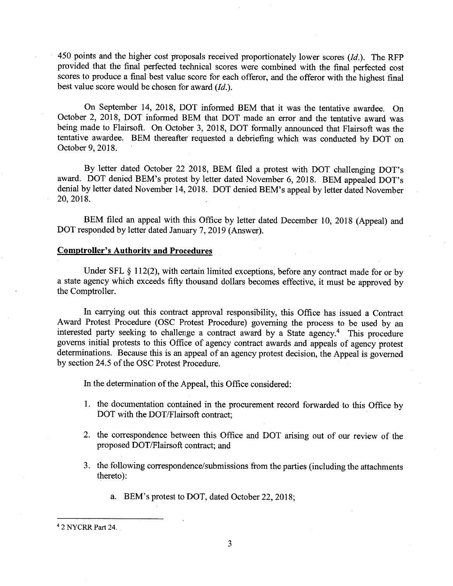450 points and the higher cost proposals received proportionately lower scores *(Id.).* The RFP provided that the final perfected technical scores were combined with the final perfected cost scores to produce a final best value score for each offeror, and the offeror with the highest final best value score would be chosen for award  $(Id.)$ .

On September 14, 2018, DOT informed BEM that it was the tentative awardee. On October 2, 2018, DOT informed BEM that DOT made an error and the tentative award was being made to Flairsoft. On October 3, 2018, DOT formally announced that Flairsoft was the tentative awardee. BEM thereafter requested a debriefing which was conducted by DOT on October 9, 2018.

By letter dated October 22 2018, BEM filed a protest with DOT challenging DOT's award. DOT denied BEM's protest by letter dated November 6, 2018. BEM appealed DOT's denial by letter dated November 14, 2018. DOT denied BEM's appeal by letter dated November 20, 2018.

BEM filed an appeal with this Office by letter dated December 10, 2018 (Appeal) and DOT responded by letter dated January 7, 2019 (Answer).

# **Comptroller's Authority and Procedures**

Under SFL § 112(2), with certain limited exceptions, before any contract made for or by a state agency which exceeds fifty thousand dollars becomes effective, it must be approved by the Comptroller.

In carrying out this contract approval responsibility, this Office has issued a Contract Award Protest Procedure (OSC Protest Procedure) governing the process to be used by an interested party seeking to challenge a contract award by a State agency.4 This procedure governs initial protests to this Office of agency contract awards and appeals of agency protest determinations. Because this is an appeal of an agency protest decision, the Appeal is governed by section 24.5 of the OSC Protest Procedure.

In the determination of the Appeal, this Office considered:

- 1. the documentation contained in the procurement record forwarded to this Office by DOT with the DOT/Flairsoft contract;
- 2. the correspondence between this Office and DOT arising out of our review of the proposed DOT /Flairsoft contract; and
- 3. the following correspondence/submissions from the parties (including the attachments thereto):
	- a. BEM's protest to DOT, dated October 22, 2018;

<sup>4 2</sup> NYCRR Part 24.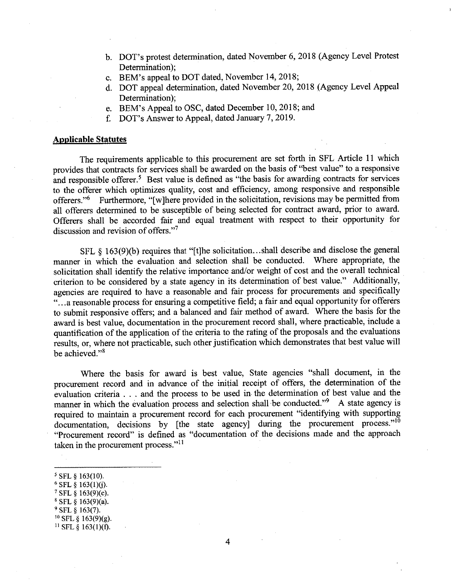- b. DOT's protest determination, dated November 6, 2018 (Agency Level Protest Determination);
- c. BEM's appeal to DOT dated, November 14, 2018;
- d. DOT appeal determination, dated November 20, 2018 (Agency Level Appeal Determination);
- e. BEM's Appeal to OSC, dated December 10, 2018; and
- f. DOT's Answer to Appeal, dated January 7, 2019.

## **Applicable Statutes**

The requirements applicable to this procurement are set forth in SFL Article 11 which provides that contracts for services shall be awarded on the basis of "best value" to a responsive and responsible offerer.<sup>5</sup> Best value is defined as "the basis for awarding contracts for services to the offerer which optimizes quality, cost and efficiency, among responsive and responsible offerers."<sup>6</sup> Furthermore, "[w]here provided in the solicitation, revisions may be permitted from all offerers determined to be susceptible of being selected for contract award, prior to award. Offerers shall be accorded fair and equal treatment with respect to their opportunity for discussion and revision of offers."<sup>7</sup>

SFL  $\S$  163(9)(b) requires that "[t]he solicitation...shall describe and disclose the general<br>in which the evaluation and selection shall be conducted. Where appropriate, the manner in which the evaluation and selection shall be conducted. solicitation shall identify the relative importance and/or weight of cost and the overall technical criterion to be considered by a state agency in its determination of best value." Additionally, agencies are required to have a reasonable and fair process for procurements and specifically "... a reasonable process for ensuring a competitive field; a fair and equal opportunity for offerers to submit responsive offers; and a balanced and fair method of award. Where the basis for the award is best value, documentation in the procurement record shall, where practicable, include a quantification of the application of the criteria to the rating of the proposals and the evaluations results, or, where not practicable, such other justification which demonstrates that best value will be achieved."<sup>8</sup>

Where the basis for award is best value, State agencies "shall document, in the procurement record and in advance of the initial receipt of offers, the determination of the evaluation criteria . . . and the process to be used in the determination of best value and the manner in which the evaluation process and selection shall be conducted."<sup>9</sup> A state agency is required to maintain a procurement record for each procurement "identifying with supporting documentation, decisions by [the state agency] during the procurement process."<sup>10</sup> "Procurement record" is defined as "documentation of the decisions made and the approach taken in the procurement process."<sup>11</sup>

<sup>5</sup> SFL § 163(10).<br><sup>6</sup> SFL § 163(1)(j).  $7$  SFL § 163(9)(c).  $8$  SFL  $\S$  163(9)(a). 9 SFL § 163(7). <sup>10</sup> SFL § 163(9)(g).<br><sup>11</sup> SFL § 163(1)(f).

4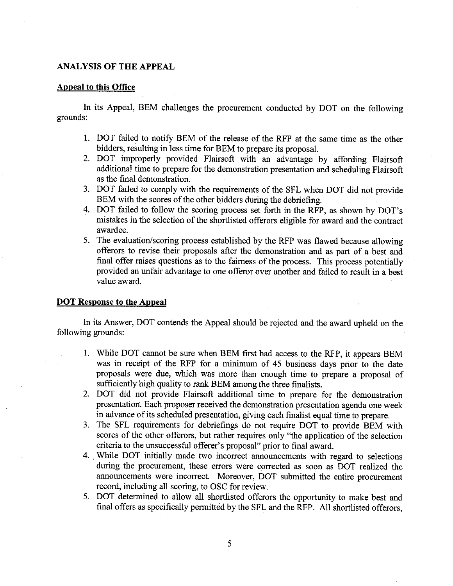# **ANALYSIS OF THE APPEAL**

# **Appeal to this Office**

In its Appeal, BEM challenges the procurement conducted by DOT on the following grounds:

- 1. DOT failed to notify BEM of the release of the RFP at the same time as the other bidders, resulting in less time for BEM to prepare its proposal.
- 2. DOT improperly provided Flairsoft with an advantage by affording Flairsoft additional time to prepare for the demonstration presentation and scheduling Flairsoft as the final demonstration.
- 3. DOT failed to comply with the requirements of the SFL when DOT did not provide BEM with the scores of the other bidders during the debriefing.
- 4. DOT failed to follow the scoring process set forth in the RFP, as shown by DOT's mistakes in the selection of the shortlisted offerors eligible for award and the contract awardee.
- 5. The evaluation/scoring process established by the RFP was flawed because allowing offerors to revise their proposals after the demonstration and as part of a best and final offer raises questions as to the fairness of the process. This process potentially provided an unfair advantage to one offeror over another and failed to result in a best value award.

# **DOT Response to the Appeal**

In its Answer, DOT contends the Appeal should be rejected and the award upheld on the following grounds:

- 1. While DOT cannot be sure when BEM first had access to the RFP, it appears BEM was in receipt of the RFP for a minimum of 45 business days prior to the date proposals were due, which was more than enough time to prepare a proposal of sufficiently high quality to rank BEM among the three finalists.
- 2. DOT did not provide Flairsoft additional time to prepare for the demonstration presentation. Each proposer received the demonstration presentation agenda one week in advance of its scheduled presentation, giving each finalist equal time to prepare.
- 3. The SFL requirements for debriefings do not require DOT to provide BEM with scores of the other offerors, but rather requires only "the application of the selection criteria to the unsuccessful offerer's proposal" prior to final award.
- 4 .. While DOT initially made two incorrect announcements with regard to selections during the procurement, these errors were corrected as soon as DOT realized the announcements were incorrect. Moreover, DOT submitted the entire procurement record, including all scoring, to OSC for review.
- 5. DOT determined to allow all shortlisted offerors the opportunity to make best and final offers as specifically permitted by the SFL and the RFP. All shortlisted offerors,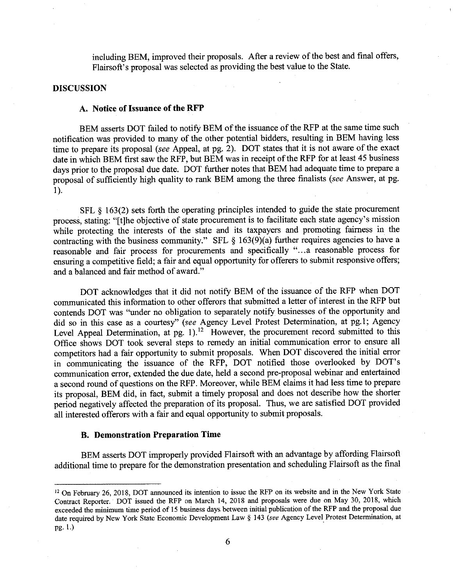including BEM, improved their proposals. After a review of the best and final offers, Flairsoft's proposal was selected as providing the best value to the State.

# **DISCUSSION**

### **A. Notice of Issuance of the RFP**

BEM asserts DOT failed to notify BEM of the issuance of the RFP at the same time such notification was provided to many of the other potential bidders, resulting in BEM having less time to prepare its proposal *(see* Appeal, at pg. 2). DOT states that it is not aware of the exact date in which BEM first saw the RFP, but BEM was in receipt of the RFP for at least 45 business days prior to the proposal due date. DOT further notes that BEM had adequate time to prepare a proposal of sufficiently high quality to rank BEM among the three finalists *(see* Answer, at pg. 1).

SFL § 163(2) sets forth the operating principles intended to guide the state procurement process, stating: "[t]he objective of state procurement is to facilitate each state agency's mission while protecting the interests of the state and its taxpayers and promoting fairness in the contracting with the business community." SFL § 163(9)(a) further requires agencies to have a reasonable and fair process for procurements and specifically "... a reasonable process for ensuring a competitive field; a fair and equal opportunity for offerers to submit responsive offers; and a balanced and fair method of award."

DOT acknowledges that it did not notify BEM of the issuance of the RFP when DOT communicated this information to other offerors that submitted a letter of interest in the RFP but contends DOT was "under no obligation to separately notify businesses of the opportunity and did so in this case as a courtesy" *(see* Agency Level Protest Determination, at pg. I; Agency Level Appeal Determination, at pg. 1).<sup>12</sup> However, the procurement record submitted to this Office shows DOT took several steps to remedy an initial communication error to ensure all competitors had a fair opportunity to submit proposals. When DOT discovered the initial error in communicating the issuance of the RFP, DOT notified those overlooked by DOT's communication error, extended the due date, held a second pre-proposal webinar and entertained a second round of questions on the RFP. Moreover, while BEM claims it had less time to prepare its proposal, BEM did, in fact, submit a timely proposal and does not describe how the shorter period negatively affected the preparation of its proposal. Thus, we are satisfied DOT provided all interested offerors with a fair and equal opportunity to submit proposals.

### **B. Demonstration Preparation Time**

BEM asserts DOT improperly provided Flairsoft with an advantage by affording Flairsoft additional time to prepare for the demonstration presentation and scheduling Flairsoft as the final

<sup>12</sup> On February 26, 2018, DOT announced its intention to issue the RFP on its website and in the New York State Contract Reporter. DOT issued the RFP on March 14, 2018 and proposals were due on May 30, 2018, which exceeded the minimum time period of 15 business days between initial publication of the RFP and the proposal due date required by New York State Economic Development Law § 143 (see Agency Level Protest Determination, at  $pp. 1.$ )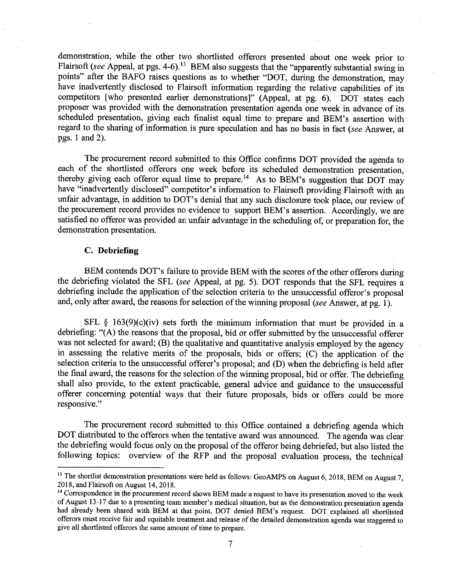demonstration, while the other two shortlisted offerors presented about one week prior to Flairsoft *(see Appeal, at pgs. 4-6).*<sup>13</sup> BEM also suggests that the "apparently substantial swing in points" after the BAFO raises questions as to whether "DOT, during the demonstration, may have inadvertently disclosed to Flairsoft information regarding the relative capabilities of its competitors [ who presented earlier demonstrations]'' (Appeal, at pg. 6). DOT states each proposer was provided with the demonstration presentation agenda one week in advance of its scheduled presentation, giving each finalist equal time to prepare and BEM's assertion with regard to the sharing of information is pure speculation and has no basis in fact *(see* Answer, at pgs. 1 and 2).

The procurement record submitted to this Office confirms DOT provided the agenda to each of the shortlisted offerors one week before its scheduled demonstration presentation, thereby giving each offeror equal time to prepare.<sup>14</sup> As to BEM's suggestion that DOT may have "inadvertently disclosed" competitor's information to Flairsoft providing Flairsoft with an unfair advantage, in addition to DOT's denial that any such disclosure took place, our review of the procurement record provides no evidence to support BEM's assertion. Accordingly, we are satisfied no offeror was provided an unfair advantage in the scheduling of, or preparation for, the demonstration presentation.

## C. **Debriefing**

BEM contends DOT's failure to provide BEM with the scores of the other offerors during the debriefing violated the SFL *(see* Appeal, at pg. 5). DOT responds that the SFL requires a debriefing include the application of the selection criteria to the unsuccessful offeror's proposal and, only after award, the reasons for selection of the winning proposal *(see* Answer, at pg. 1 ).

SFL  $§$  163(9)(c)(iv) sets forth the minimum information that must be provided in a debriefing: "(A) the reasons that the proposal, bid or offer submitted by the unsuccessful offerer was not selected for award; (B) the qualitative and quantitative analysis employed by the agency in assessing the relative merits of the proposals, bids or offers; (C) the application of the selection criteria to the unsuccessful offerer's proposal; and (D) when the debriefing is held after the final award, the reasons for the selection of the winning proposal, bid or offer. The debriefing shall also provide, to the extent practicable, general advice and guidance to the unsuccessful offerer concerning potential ways that their future proposals, bids or offers could be more responsive."

The procurement record submitted to this Office contained a debriefing agenda which DOT distributed to the offerors when the tentative award was announced. The agenda was clear the debriefing would focus only on the proposal of the offeror being debriefed, but also listed the following topics: overview of the RFP and the proposal evaluation process, the technical

<sup>&</sup>lt;sup>13</sup> The shortlist demonstration presentations were held as follows: GeoAMPS on August 6, 2018, BEM on August 7, 2018, and Flairsoft on August 14, 2018.

<sup>&</sup>lt;sup>14</sup> Correspondence in the procurement record shows BEM made a request to have its presentation moved to the week of August 13-17 due to a presenting team member's medical situation, but as ihe demonstration presentation agenda had already been shared with BEM at that point, DOT denied BEM's request. DOT explained all shortlisted offerors must receive fair and equitable treatment and release of the detailed demonstration agenda was staggered to give all shortlisted offerors ihe same amount of time to prepare.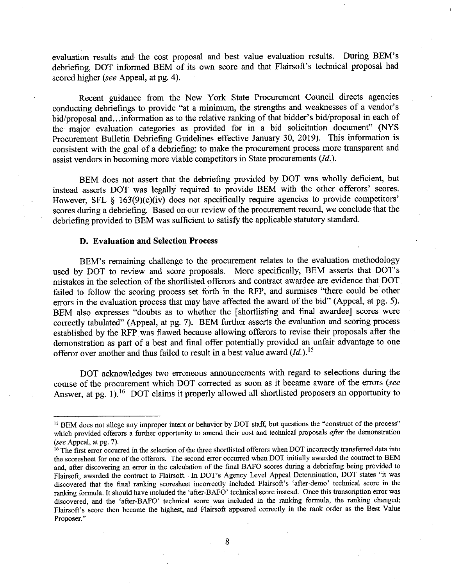evaluation results and the cost proposal and best value evaluation results. During BEM's debriefing, DOT informed BEM of its own score and that Flairsoft's technical proposal had scored higher *(see* Appeal, at pg. 4).

Recent guidance from the New York State Procurement Council directs agencies conducting debriefings to provide "at a minimum, the strengths and weaknesses of a vendor's bid/proposal and .. .information as to the relative ranking of that bidder's bid/proposal in each of the major evaluation categories as provided for in a bid solicitation document" (NYS Procurement Bulletin Debriefing Guidelines effective January 30, 2019). This information is consistent with the goal of a debriefing: to make the procurement process more transparent and assist vendors in becoming more viable competitors in State procurements *(Id.).* 

BEM does not assert that the debriefing provided by DOT was wholly deficient, but instead asserts DOT was legally required to provide BEM with the other offerors' scores. However, SFL  $\S$  163(9)(c)(iv) does not specifically require agencies to provide competitors' scores during a debriefing. Based on our review of the procurement record, we conclude that the debriefing provided to BEM was sufficient to satisfy the applicable statutory standard.

## **D. Evaluation and Selection Process**

BEM's remaining challenge to the procurement relates to the evaluation methodology used by DOT to review and score proposals. More specifically, BEM asserts that DOT's mistakes in the selection of the shortlisted offerors and contract awardee are evidence that DOT failed to follow the scoring process set forth in the RFP, and surmises "there could be other errors in the evaluation process that may have affected the award of the bid" (Appeal, at pg. 5). BEM also expresses "doubts as to whether the [ shortlisting and final awardee] scores were correctly tabulated" (Appeal, at pg. 7). BEM further asserts the evaluation and scoring process established by the RFP was flawed because allowing offerors to revise their proposals after the demonstration as part of a best and final offer potentially provided an unfair advantage to one offeror over another and thus failed to result in a best value award *(Id.* ). <sup>15</sup>

DOT acknowledges two erroneous announcements with regard to selections during the course of the procurement which DOT corrected as soon as it became aware of the errors *(see*  Answer, at pg. 1).<sup>16</sup> DOT claims it properly allowed all shortlisted proposers an opportunity to

<sup>&</sup>lt;sup>15</sup> BEM does not allege any improper intent or behavior by DOT staff, but questions the "construct of the process" which provided offerors a further opportunity to amend their cost and technical proposals *after* the demonstration *(see* Appeal, at pg. 7).

<sup>&</sup>lt;sup>16</sup> The first error occurred in the selection of the three shortlisted offerors when DOT incorrectly transferred data into the scoresheet for one of the offerors. The second error occurred when DOT initially awarded the contract to BEM and, after discovering an error in the calculation of the final BAFO scores during a debriefing being provided to Flairsoft, awarded the contract to Flairsoft. In DOT's Agency Level Appeal Determination, DOT states "it was discovered that the final ranking scoresheet incorrectly included Flairsoft's 'after-demo' technical score in the ranking formula. It should have included the 'after-BAFO' technical score instead. Once this transcription error was discovered, and the 'after-BAFO' technical score was included in the ranking formula, the ranking changed; Flairsoft's score then became the highest, and Flairsoft appeared correctly in the rank order as the Best Value **Proposer."**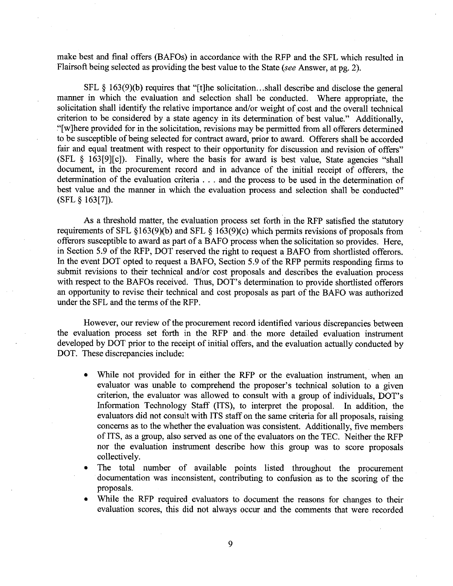make best and final offers (BAFOs) in accordance with the RFP and the SFL which resulted in Flairsoft being selected as providing the best value to the State *(see* Answer, at pg. 2).

SFL § 163(9)(b) requires that "[t]he solicitation...shall describe and disclose the general manner in which the evaluation and selection shall be conducted. Where appropriate, the solicitation shall identify the relative importance and/or weight of cost and the overall technical criterion to be considered by a state agency in its determination of best value." Additionally, "[ w ]here provided for in the solicitation, revisions may be permitted from all offerers determined to be susceptible of being selected for contract award, prior to award. Offerers shall be accorded fair and equal treatment with respect to their opportunity for discussion and revision of offers" (SFL § 163[9][c]). Finally, where the basis for award is best value, State agencies "shall document, in the procurement record and in advance of the initial receipt of offerers, the determination of the evaluation criteria ... and the process to be used in the determination of best value and the manner in which the evaluation process and selection shall be conducted" (SFL § 163[7]).

As a threshold matter, the evaluation process set forth in the RFP satisfied the statutory requirements of SFL §163(9)(b) and SFL § 163(9)(c) which permits revisions of proposals from offerors susceptible to award as part of a BAFO process when the solicitation so provides. Here, in Section 5.9 of the RFP, DOT reserved the right to request a BAFO from shortlisted offerors. In the event DOT opted to request a BAFO, Section 5.9 of the RFP permits responding firms to submit revisions to their technical and/or cost proposals and describes the evaluation process with respect to the BAFOs received. Thus, DOT's determination to provide shortlisted offerors an opportunity to revise their technical and cost proposals as part of the BAFO was authorized under the SFL and the terms of the RFP.

However, our review of the procurement record identified various discrepancies between the evaluation process set forth in the RFP and. the more detailed evaluation instrument developed by DOT prior to the receipt of initial offers, and the evaluation actually conducted by DOT. These discrepancies include:

- While not provided for in either the RFP or the evaluation instrument, when an evaluator was unable to comprehend the proposer's technical solution to a given criterion, the evaluator was allowed to consult with a group of individuals, DOT's Information Technology Staff (ITS), to interpret the proposal. In addition, the evaluators did not consult with ITS staff on the same criteria for all proposals, raising concerns as to the whether the evaluation was consistent. Additionally, five members of ITS, as a group, also served as one of the evaluators on the TEC. Neither the RFP nor the evaluation instrument describe how this group was to score proposals collectively.
- The total number of available points listed throughout the procurement documentation was inconsistent, contributing to confusion as to the scoring of the proposals.
- While the RFP required evaluators to document the reasons for changes to their evaluation scores, this did not always occur and the comments that were recorded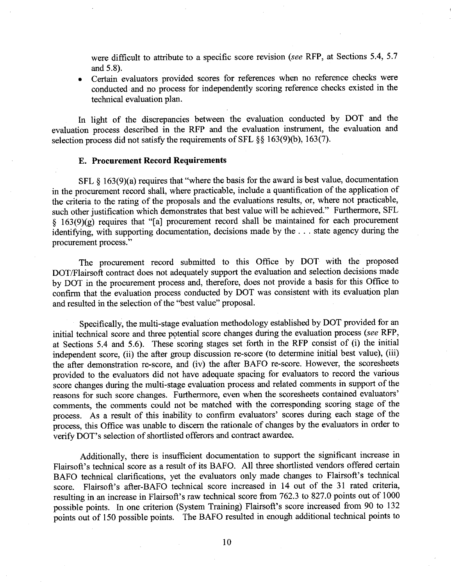were difficult to attribute to a specific score revision *(see* RFP, at Sections 5.4, 5.7 and 5.8).

• Certain evaluators provided scores for references when no reference checks were conducted and no process for independently scoring reference checks existed in the technical evaluation plan.

In light of the discrepancies between the evaluation conducted by DOT and the evaluation process described in the RFP and the evaluation instrument, the evaluation and selection process did not satisfy the requirements of SFL  $\S$ § 163(9)(b), 163(7).

## E. **Procurement Record Requirements**

SFL § 163(9)(a) requires that "where the basis for the award is best value, documentation in the procurement record shall, where practicable, include a quantification of the application of the criteria to the rating of the proposals and the evaluations results, or, where not practicable, such other justification which demonstrates that best value will be achieved." Furthermore, SFL § 163(9)(g) requires that "[a] procurement record shall be maintained for each procurement identifying, with supporting documentation, decisions made by the ... state agency during the procurement process."

The procurement record submitted to this Office by DOT with the proposed DOT/Flairsoft contract does not adequately support the evaluation and selection decisions made by DOT in the procurement process and, therefore, does not provide a basis for this Office to confirm that the evaluation process conducted by DOT was consistent with its evaluation plan and resulted in the selection of the "best value" proposal.

Specifically, the multi-stage evaluation methodology established by DOT provided for an initial technical score and three potential score changes during the evaluation process (see RFP, at Sections 5.4 and 5.6). These scoring stages set forth in the RFP consist of (i) the initial independent score, (ii) the after group discussion re-score (to determine initial best value), (iii) the after demonstration re-score, and (iv) the after BAFO re-score. However, the scoresheets provided to the evaluators did not have adequate spacing for evaluators to record the various score changes during the multi-stage evaluation process and related comments in support of the reasons for such score changes. Furthermore, even when the scoresheets contained evaluators' comments, the comments could not be matched with the corresponding scoring stage of the process. As a result of this inability to confirm evaluators' scores during each stage of the process, this Office was unable to discern the rationale of changes by the evaluators in order to verify DOT's selection of shortlisted offerors and contract awardee.

Additionally, there is insufficient documentation to support the significant increase in Flairsoft's technical score as a result of its BAFO. All three shortlisted vendors offered certain BAFO technical clarifications, yet the evaluators only made changes to Flairsoft's technical score. Flairsoft's after-BAFO technical score increased in 14 out of the 31 rated criteria, resulting in an increase in Flairsoft's raw technical score from 762.3 to 827.0 points out of 1000 possible points. In one criterion (System Training) Flairsoft's score increased from 90 to 132 points out of 150 possible points. The BAFO resulted in enough additional technical points to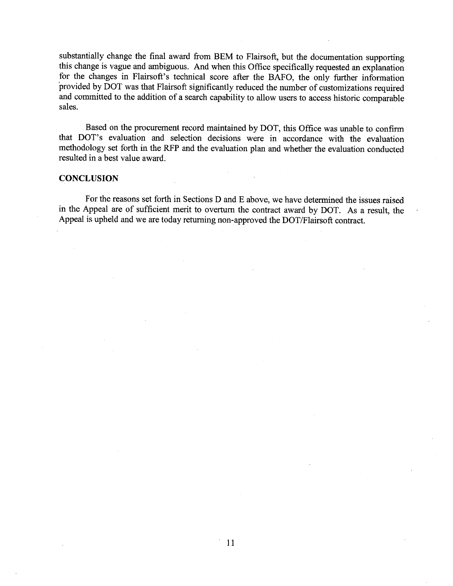substantially change the final award from BEM to Flairsoft, but the documentation supporting this change is vague and ambiguous. And when this Office specifically requested an explanation for the changes in Flairsoft's technical score after the BAFO, the only further information provided by DOT was that Flairsoft significantly reduced the number of customizations required and committed to the addition of a search capability to allow users to access historic comparable sales.

Based on the procurement record maintained by DOT, this Office was unable to confirm that DOT's evaluation and selection decisions were in accordance with the evaluation methodology set forth in the RFP and the evaluation plan and whether the evaluation conducted resulted in a best value award.

#### **CONCLUSION**

For the reasons set forth in Sections D and E above, we have determined the issues raised in the Appeal are of sufficient merit to overturn the contract award by DOT. As a result, the Appeal is upheld and we are today returning non-approved the DOT/Flairsoft contract.